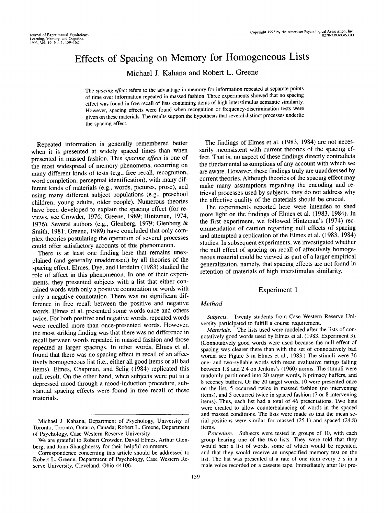# Effects of Spacing on Memory for Homogeneous Lists

Michael J. Kahana and Robert L. Greene

The *spacing effect* refers to the advantage in memory for information repeated at separate points of time over information repeated in massed fashion. Three experiments showed that no spacing effect was found in free recall of lists containing items of high interstimulus semantic similarity. However, spacing effects were found when recognition or frequency-discrimination tests were given on these materials. The results support the hypothesis that several distinct processes underlie the spacing effect.

Repeated information is generally remembered better when it is presented at widely spaced times than when presented in massed fashion. This *spacing effect* is one of the most widespread of memory phenomena, occurring on many different kinds of tests (e.g., free recall, recognition, word completion, perceptual identification), with many different kinds of materials (e.g., words, pictures, prose), and using many different subject populations (e.g., preschool children, young adults, older people). Numerous theories have been developed to explain the spacing effect (for reviews, see Crowder, 1976; Greene, 1989; Hintzman, 1974, 1976). Several authors (e.g., Glenberg, 1979; Glenberg & Smith, 1981; Greene, 1989) have concluded that only complex theories postulating the operation of several processes could offer satisfactory accounts of this phenomenon.

There is at least one finding here that remains unexplained (and generally unaddressed) by all theories of the spacing effect. Elmes, Dye, and Herdelin (1983) studied the role of affect in this phenomenon. In one of their experiments, they presented subjects with a list that either contained words with only a positive connotation or words with only a negative connotation. There was no significant difference in free recall between the positive and negative words. Elmes et al. presented some words once and others twice. For both positive and negative words, repeated words were recalled more than once-presented words. However, the most striking finding was that there was no difference in recall between words repeated in massed fashion and those repeated at larger spacings. In other words, Elmes et al. found that there was no spacing effect in recall of an affectively homogeneous list (i.e., either all good items or all bad items). Elmes, Chapman, and Selig (1984) replicated this null result. On the other hand, when subjects were put in a depressed mood through a mood-induction procedure, substantial spacing effects were found in free recall of these materials.

The findings of Elmes et al. (1983, 1984) are not necessarily inconsistent with current theories of the spacing effect. That is, no aspect of these findings directly contradicts the fundamental assumptions of any account with which we are aware. However, these findings truly are unaddressed by current theories. Although theories of the spacing effect may make many assumptions regarding the encoding and retrieval processes used by subjects, they do not address why the affective quality of the materials should be crucial.

The experiments reported here were intended to shed more light on the findings of Elmes et al. (1983, 1984). In the first experiment, we followed Hintzman's (1974) recommendation of caution regarding null effects of spacing and attempted a replication of the Elmes et al. (1983, 1984) studies. In subsequent experiments, we investigated whether the null effect of spacing on recall of affectively homogeneous material could be viewed as part of a larger empirical generalization, namely, that spacing effects are not found in retention of materials of high interstimulus similarity.

# Experiment 1

#### *Method*

*Subjects.* Twenty students from Case Western Reserve University participated to fulfill a course requirement.

*Materials.* The lists used were modeled after the lists of connotatively good words used by Elmes et al. (1983, Experiment 3). (Connotatively good words were used because the null effect of spacing was clearer there than with the set of connotatively bad words; see Figure 3 in Elmes et al., 1983.) The stimuli were 36 one- and two-syllable words with mean evaluative ratings falling between 1.8 and 2.4 on Jenkins's (1960) norms. The stimuli were randomly partitioned into 20 target words, 8 primacy buffers, and 8 recency buffers. Of the 20 target words, 10 were presented once on the list, 5 occurred twice in massed fashion (no intervening items), and 5 occurred twice in spaced fashion (7 or 8 intervening items). Thus, each list had a total of 46 presentations. Two lists were created to allow counterbalancing of words in the spaced and massed conditions. The lists were made so that the mean serial positions were similar for massed (25.1) and spaced (24.8) items.

*Procedure.* Subjects were tested in groups of 10, with each group hearing one of the two lists. They were told that they would hear a list of words, some of which would be repeated, and that they would receive an unspecified memory test on the list. The list was presented at a rate of one item every 3 s in a male voice recorded on a cassette tape. Immediately after list pre-

Michael J. Kahana, Department of Psychology, University of Toronto, Toronto, Ontario, Canada; Robert L. Greene, Department of Psychology, Case Western Reserve University.

We are grateful to Robert Crowder, David Elmes, Arthur Glenberg, and John Shaughnessy for their helpful comments.

Correspondence concerning this article should be addressed to Robert L. Greene, Department of Psychology, Case Western Reserve University, Cleveland, Ohio 44106.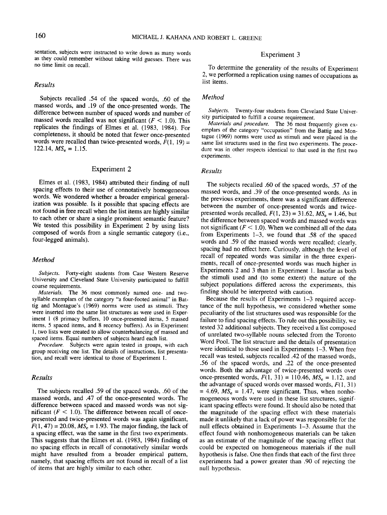sentation, subjects were instructed to write down as many words as they could remember without taking wild guesses. There was no time limit on recall.

## *Results*

Subjects recalled .54 of the spaced words, .60 of the massed words, and .19 of the once-presented words. The difference between number of spaced words and number of massed words recalled was not significant (F *<* 1.0). This replicates the findings of Elmes et al. (1983, 1984). For completeness, it should be noted that fewer once-presented words were recalled than twice-presented words,  $\dot{F}(1, 19) =$ 122.14,  $MS_e = 1.15$ .

# Experiment 2

Elmes et al. (1983, 1984) attributed their finding of null spacing effects to their use of connotatively homogeneous words. We wondered whether a broader empirical generalization was possible. Is it possible that spacing effects are not found in free recall when the list items are highly similar to each other or share a single prominent semantic feature? We tested this possibility in Experiment 2 by using lists composed of words from a single semantic category (i.e., four-legged animals).

# *Method*

*Subjects.* Forty-eight students from Case Western Reserve University and Cleveland State University participated to fulfill course requirements.<br>*Materials*. The

The 36 most commonly named one- and twosyllable exemplars of the category "a four-footed animal" in Battig and Montague's (1969) norms were used as stimuli. They were inserted into the same list structures as were used in Experiment 1 (8 primacy buffers, 10 once-presented items, 5 massed items, 5 spaced items, and 8 recency buffers). As in Experiment 1, two lists were created to allow counterbalancing of massed and spaced items. Equal numbers of subjects heard each list.

*Procedure.* Subjects were again tested in groups, with each group receiving one list. The details of instructions, list presentation, and recall were identical to those of Experiment 1.

# *Results*

The subjects recalled .59 of the spaced words, .60 of the massed words, and .47 of the once-presented words. The difference between spaced and massed words was not significant  $(F < 1.0)$ . The difference between recall of oncepresented and twice-presented words was again significant,  $F(1, 47) = 20.08$ ,  $MS_e = 1.93$ . The major finding, the lack of a spacing effect, was the same in the first two experiments. This suggests that the Elmes et al. (1983, 1984) finding of no spacing effects in recall of connotatively similar words might have resulted from a broader empirical pattern, namely, that spacing effects are not found in recall of a list of items that are highly similar to each other.

# Experiment 3

To determine the generality of the results of Experiment 2, we performed a replication using names of occupations as list items.

# *Method*

*Subjects.* Twenty-four students from Cleveland State University participated to fulfill a course requirement.

*Materials and procedure.* The 36 most frequently given exemplars of the category "occupation" from the Battig and Montague (1969) norms were used as stimuli and were placed in the same list structures used in the first two experiments. The procedure was in other respects identical to that used in the first two experiments.

## *Results*

The subjects recalled .60 of the spaced words, .57 of the massed words, and .39 of the once-presented words. As in the previous experiments, there was a significant difference between the number of once-presented words and twicepresented words recalled,  $F(1, 23) = 31.62$ ,  $MS_e = 1.46$ , but the difference between spaced words and massed words was not significant  $(F < 1.0)$ . When we combined all of the data from Experiments 1-3, we found that .58 of the spaced words and .59 of the massed words were recalled; clearly, spacing had no effect here. Curiously, although the level of recall of repeated words was similar in the three experiments, recall of once-presented words was much higher in Experiments 2 and 3 than in Experiment 1. Insofar as both the stimuli used and (to some extent) the nature of the subject populations differed across the experiments, this finding should be interpreted with caution.

Because the results of Experiments 1-3 required acceptance of the null hypothesis, we considered whether some peculiarity of the list structures used was responsible for the failure to find spacing effects. To rule out this possibility, we tested 32 additional subjects. They received a list composed of unrelated two-syllable nouns selected from the Toronto Word Pool. The list structure and the details of presentation were identical to those used in Experiments 1-3. When free recall was tested, subjects recalled .42 of the massed words, .56 of the spaced words, and .22 of the once-presented words. Both the advantage of twice-presented words over once-presented words,  $F(1, 31) = 110.46$ ,  $MS_e = 1.12$ , and the advantage of spaced words over massed words,  $F(1, 31)$  $= 4.69$ ,  $MS_e = 1.47$ , were significant. Thus, when nonhomogeneous words were used in these list structures, significant spacing effects were found. It should also be noted that the magnitude of the spacing effect with these materials made it unlikely that a lack of power was responsible for the null effects obtained in Experiments 1-3. Assume that the effect found with nonhomogeneous materials can be taken as an estimate of the magnitude of the spacing effect that could be expected on homogeneous materials if the null hypothesis is false. One then finds that each of the first three experiments had a power greater than .90 of rejecting the null hypothesis.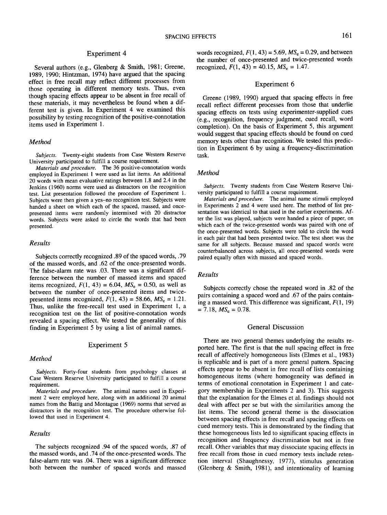# Experiment 4

Several authors (e.g., Glenberg & Smith, 1981; Greene, 1989, 1990; Hintzman, 1974) have argued that the spacing effect in free recall may reflect different processes from those operating in different memory tests. Thus, even though spacing effects appear to be absent in free recall of these materials, it may nevertheless be found when a different test is given. In Experiment 4 we examined this possibility by testing recognition of the positive-connotation items used in Experiment 1.

# *Method*

*Subjects.* Twenty-eight students from Case Western Reserve University participated to fulfill a course requirement.

*Materials and procedure.* The 36 positive-connotation words employed in Experiment 1 were used as list items. An additional 20 words with mean evaluative ratings between 1.8 and 2.4 in the Jenkins (1960) norms were used as distractors on the recognition test. List presentation followed the procedure of Experiment 1. Subjects were then given a yes-no recognition test. Subjects were handed a sheet on which each of the spaced, massed, and oncepresented items were randomly intermixed with 20 distractor words. Subjects were asked to circle the words that had been presented.

## *Results*

Subjects correctly recognized .89 of the spaced words, .79 of the massed words, and .62 of the once-presented words. The false-alarm rate was .03. There was a significant difference between the number of massed items and spaced items recognized,  $F(1, 43) = 6.04$ ,  $MS_e = 0.50$ , as well as between the number of once-presented items and twicepresented items recognized,  $F(1, 43) = 58.66$ ,  $MS_e = 1.21$ . Thus, unlike the free-recall test used in Experiment 1, a recognition test on the list of positive-connotation words revealed a spacing effect. We tested the generality of this finding in Experiment 5 by using a list of animal names.

# Experiment 5

## *Method*

*Subjects.* Forty-four students from psychology classes at Case Western Reserve University participated to fulfill a course requirement.

*Materials and procedure.* The animal names used in Experiment 2 were employed here, along with an additional 20 animal names from the Battig and Montague (1969) norms that served as distractors in the recognition test. The procedure otherwise followed that used in Experiment 4.

## *Results*

The subjects recognized .94 of the spaced words, .87 of the massed words, and .74 of the once-presented words. The false-alarm rate was .04. There was a significant difference both between the number of spaced words and massed

words recognized,  $F(1, 43) = 5.69$ ,  $MS_e = 0.29$ , and between the number of once-presented and twice-presented words recognized,  $F(1, 43) = 40.15$ ,  $MS_e = 1.47$ .

## Experiment 6

Greene (1989, 1990) argued that spacing effects in free recall reflect different processes from those that underlie spacing effects on tests using experimenter-supplied cues (e.g., recognition, frequency judgment, cued recall, word completion). On the basis of Experiment 5, this argument would suggest that spacing effects should be found on cued memory tests other than recognition. We tested this prediction in Experiment 6 by using a frequency-discrimination task.

# *Method*

*Subjects.* Twenty students from Case Western Reserve University participated to fulfill a course requirement.

*Materials and procedure.* The animal name stimuli employed in Experiments 2 and 4 were used here. The method of list presentation was identical to that used in the earlier experiments. After the list was played, subjects were handed a piece of paper, on which each of the twice-presented words was paired with one of the once-presented words. Subjects were told to circle the word in each pair that had been presented twice. The test sheet was the same for all subjects. Because massed and spaced words were counterbalanced across subjects, all once-presented words were paired equally often with massed and spaced words.

## *Results*

Subjects correctly chose the repeated word in .82 of the pairs containing a spaced word and .67 of the pairs containing a massed word. This difference was significant, *F(l,* 19)  $= 7.18, MS_e = 0.78.$ 

# General Discussion

There are two general themes underlying the results reported here. The first is that the null spacing effect in free recall of affectively homogeneous lists (Elmes et al., 1983) is replicable and is part of a more general pattern. Spacing effects appear to be absent in free recall of lists containing homogeneous items (where homogeneity was defined in terms of emotional connotation in Experiment 1 and category membership in Experiments 2 and 3). This suggests that the explanation for the Elmes et al. findings should not deal with affect per se but with the similarities among the list items. The second general theme is the dissociation between spacing effects in free recall and spacing effects on cued memory tests. This is demonstrated by the finding that these homogeneous lists led to significant spacing effects in recognition and frequency discrimination but not in free recall. Other variables that may dissociate spacing effects in free recall from those in cued memory tests include retention interval (Shaughnessy, 1977), stimulus generation (Glenberg & Smith, 1981), and intentionality of learning